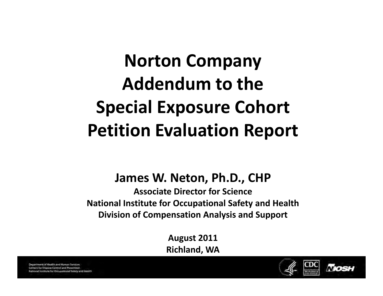# **N C orton Company Addendum to the Special Exposure Cohort Petition Evaluation Report**

#### **James W. Neton, Ph.D., CHP**

**Associate Director for Science National Institute for Occupational Safety and Health Division of Compensation Analysis and Support**

> **August 2011 Richland, WA**



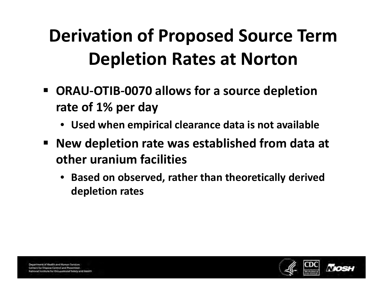## **Derivation of Proposed Source Term Depletion Rates at Norton**

- $\blacksquare$  **ORAU-OTIB-0070** allows for a source depletion **rate of 1% per day**
	- **Used when empirical clearance data is not available**
- **New depletion rate was established from data at other uranium facilities**
	- $\bullet$  **Based on observed, rather than theoretically derived depletion rates**

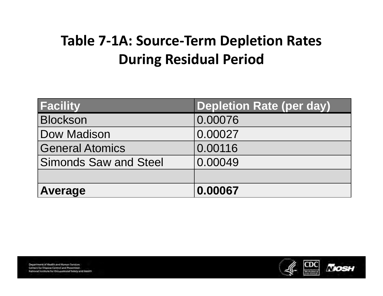#### **Table 7-1A: Source-Term Depletion Rates During Residual Period**

| <b>Facility</b>              | <b>Depletion Rate (per day)</b> |
|------------------------------|---------------------------------|
| <b>Blockson</b>              | 0.00076                         |
| Dow Madison                  | 0.00027                         |
| <b>General Atomics</b>       | 0.00116                         |
| <b>Simonds Saw and Steel</b> | 0.00049                         |
|                              |                                 |
| <b>Average</b>               | 0.00067                         |